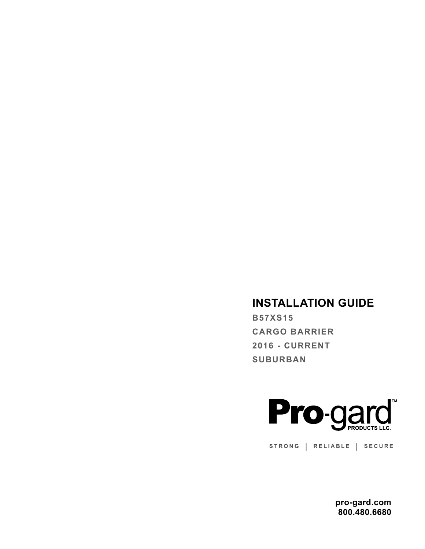# **INSTALLATION GUIDE**

**B57XS15 CARGO BARRIER 2016 - CURRENT SUBURBAN**



**STRONG | RELIABLE | SECURE**

**pro-gard.com 800.480.6680**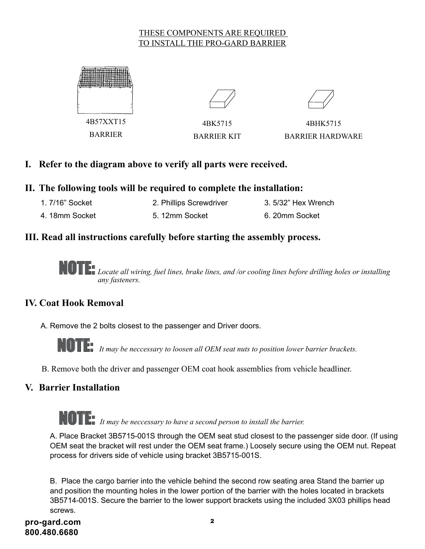#### THESE COMPONENTS ARE REQUIRED TO INSTALL THE PRO-GARD BARRIER



BARRIER





4BK5715 BARRIER KIT

4BHK5715 BARRIER HARDWARE

## **I. Refer to the diagram above to verify all parts were received.**

#### **II. The following tools will be required to complete the installation:**

- 1. 7/16" Socket 2. Phillips Screwdriver 3. 5/32" Hex Wrench
- 4. 18mm Socket 5. 12mm Socket 6. 20mm Socket

### **III. Read all instructions carefully before starting the assembly process.**

 $\blacksquare$  Locate all wiring, fuel lines, brake lines, and /or cooling lines before drilling holes or installing  *any fasteners.* 

### **IV. Coat Hook Removal**

A. Remove the 2 bolts closest to the passenger and Driver doors.



NOTE: *It may be neccessary to loosen all OEM seat nuts to position lower barrier brackets.*

B. Remove both the driver and passenger OEM coat hook assemblies from vehicle headliner.

### **V. Barrier Installation**

NOTE: *It may be neccessary to have a second person to install the barrier.*

A. Place Bracket 3B5715-001S through the OEM seat stud closest to the passenger side door. (If using OEM seat the bracket will rest under the OEM seat frame.) Loosely secure using the OEM nut. Repeat process for drivers side of vehicle using bracket 3B5715-001S.

B. Place the cargo barrier into the vehicle behind the second row seating area Stand the barrier up and position the mounting holes in the lower portion of the barrier with the holes located in brackets 3B5714-001S. Secure the barrier to the lower support brackets using the included 3X03 phillips head screws.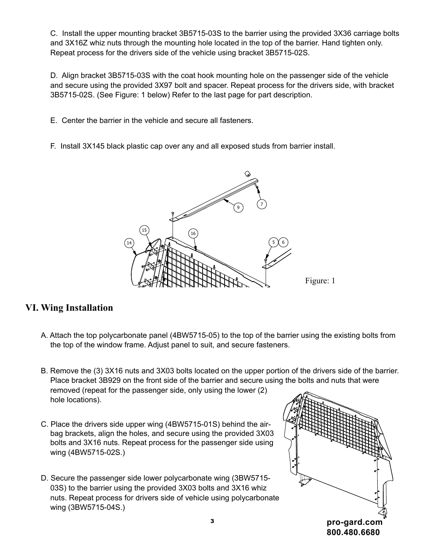C. Install the upper mounting bracket 3B5715-03S to the barrier using the provided 3X36 carriage bolts and 3X16Z whiz nuts through the mounting hole located in the top of the barrier. Hand tighten only. Repeat process for the drivers side of the vehicle using bracket 3B5715-02S.

D. Align bracket 3B5715-03S with the coat hook mounting hole on the passenger side of the vehicle and secure using the provided 3X97 bolt and spacer. Repeat process for the drivers side, with bracket 3B5715-02S. (See Figure: 1 below) Refer to the last page for part description.

E. Center the barrier in the vehicle and secure all fasteners.

F. Install 3X145 black plastic cap over any and all exposed studs from barrier install.



# **VI. Wing Installation**

A. Attach the top polycarbonate panel (4BW5715-05) to the top of the barrier using the existing bolts from the top of the window frame. Adjust panel to suit, and secure fasteners.

B. Remove the (3) 3X16 nuts and 3X03 bolts located on the upper portion of the drivers side of the barrier. Place bracket 3B929 on the front side of the barrier and secure using the bolts and nuts that were removed (repeat for the passenger side, only using the lower (2) hole locations).

- C. Place the drivers side upper wing (4BW5715-01S) behind the air-2 bag brackets, align the holes, and secure using the provided 3X03 bolts and 3X16 nuts. Repeat process for the passenger side using wing (4BW5715-02S.)
- D. Secure the passenger side lower polycarbonate wing (3BW5715-03S) to the barrier using the provided 3X03 bolts and 3X16 whiz nuts. Repeat process for drivers side of vehicle using polycarbonate wing (3BW5715-04S.) APPROVED:  $T<sub>1</sub>$   $T<sub>2</sub>$   $T<sub>3</sub>$   $T<sub>4</sub>$   $T<sub>5</sub>$   $T<sub>6</sub>$   $T<sub>7</sub>$  $U$ UU  $U$ ult $E$  Dal Propositionate wing (3BW5715-<br>ed 3X03 bolts and 3X16 whiz